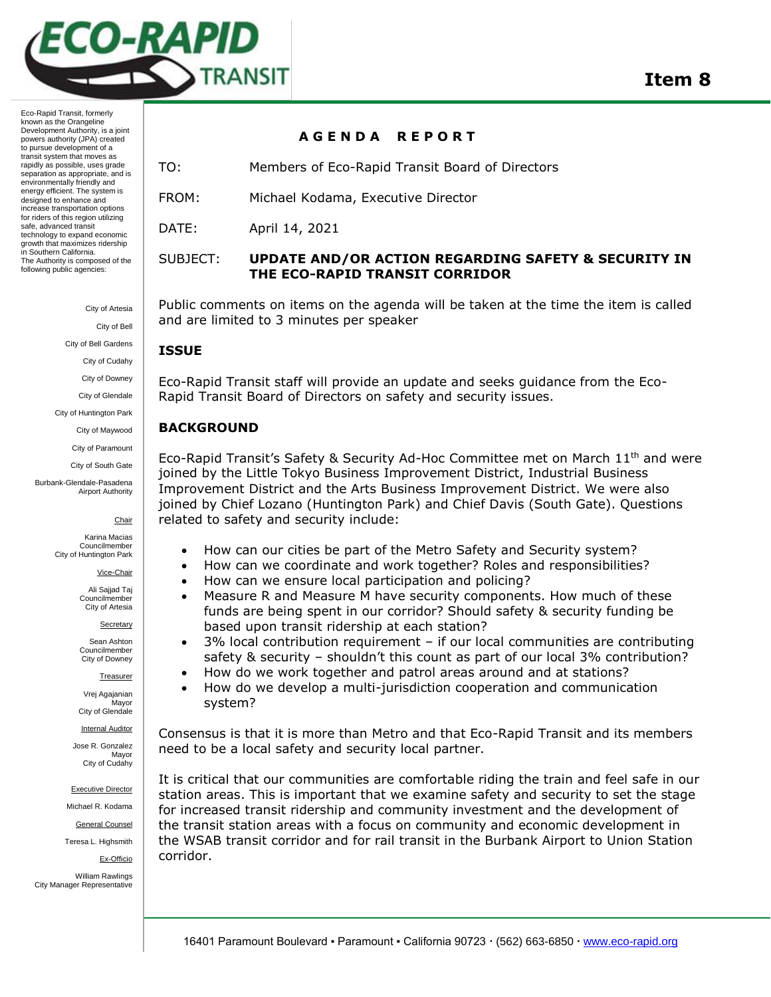

Eco-Rapid Transit, formerly known as the Orangeline Development Authority, is a joint powers authority (JPA) created to pursue development of a transit system that moves as rapidly as possible, uses grade separation as appropriate, and is environmentally friendly and energy efficient. The system is designed to enhance and increase transportation options for riders of this region utilizing safe, advanced transit technology to expand economic growth that maximizes ridership in Southern California. The Authority is composed of the following public agencies:

City of Artesia

City of Bell

City of Bell Gardens

City of Cudahy

City of Downey

City of Glendale

City of Huntington Park City of Maywood

City of Paramount

City of South Gate

Burbank-Glendale-Pasadena Airport Authority

Chair

Karina Macias Councilmember City of Huntington Park

Vice-Chair

Ali Sajjad Taj Councilmember City of Artesia

Secretary

Sean Ashton Councilmember City of Downey

Treasurer

Vrej Agajanian **Mavor** City of Glendale

Internal Auditor

Jose R. Gonzalez Mayor City of Cudahy

Executive Director

Michael R. Kodama

General Counsel

Teresa L. Highsmith

Ex-Officio

William Rawlings City Manager Representative

#### **A G E N D A R E P O R T**

TO: Members of Eco-Rapid Transit Board of Directors

FROM: Michael Kodama, Executive Director

DATE: April 14, 2021

# SUBJECT: **UPDATE AND/OR ACTION REGARDING SAFETY & SECURITY IN THE ECO-RAPID TRANSIT CORRIDOR**

Public comments on items on the agenda will be taken at the time the item is called and are limited to 3 minutes per speaker

## **ISSUE**

Eco-Rapid Transit staff will provide an update and seeks guidance from the Eco-Rapid Transit Board of Directors on safety and security issues.

## **BACKGROUND**

Eco-Rapid Transit's Safety & Security Ad-Hoc Committee met on March 11th and were joined by the Little Tokyo Business Improvement District, Industrial Business Improvement District and the Arts Business Improvement District. We were also joined by Chief Lozano (Huntington Park) and Chief Davis (South Gate). Questions related to safety and security include:

- How can our cities be part of the Metro Safety and Security system?
- How can we coordinate and work together? Roles and responsibilities?
- How can we ensure local participation and policing?
- Measure R and Measure M have security components. How much of these funds are being spent in our corridor? Should safety & security funding be based upon transit ridership at each station?
- 3% local contribution requirement if our local communities are contributing safety & security – shouldn't this count as part of our local 3% contribution?
- How do we work together and patrol areas around and at stations?
- How do we develop a multi-jurisdiction cooperation and communication system?

Consensus is that it is more than Metro and that Eco-Rapid Transit and its members need to be a local safety and security local partner.

It is critical that our communities are comfortable riding the train and feel safe in our station areas. This is important that we examine safety and security to set the stage for increased transit ridership and community investment and the development of the transit station areas with a focus on community and economic development in the WSAB transit corridor and for rail transit in the Burbank Airport to Union Station corridor.